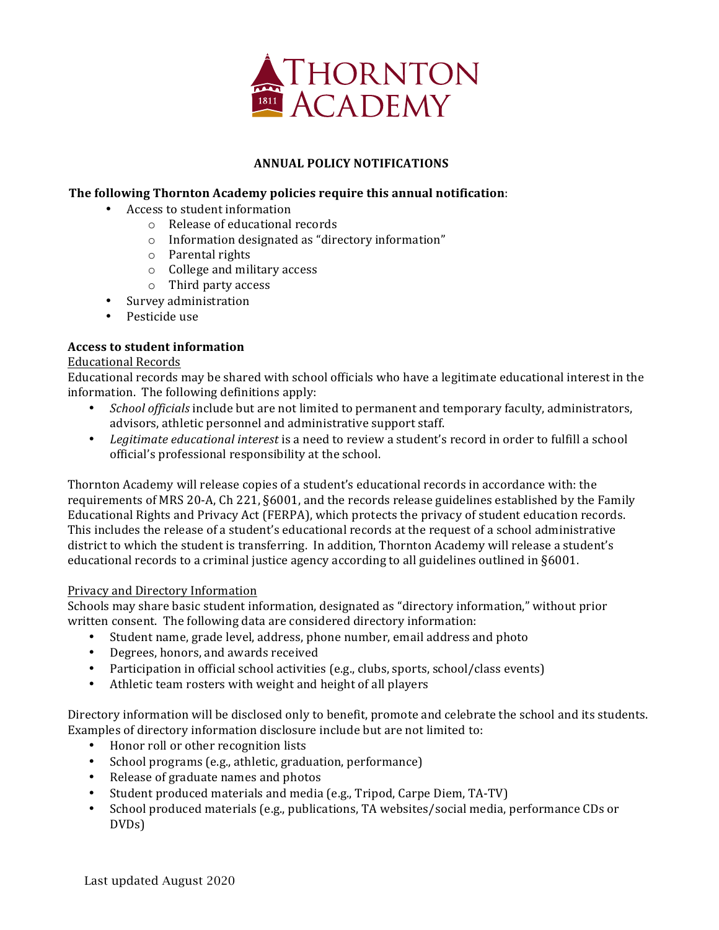

# **ANNUAL POLICY NOTIFICATIONS**

# **The following Thornton Academy policies require this annual notification:**

- Access to student information
	- $\circ$  Release of educational records
	- $\circ$  Information designated as "directory information"
	- o Parental rights
	- o College and military access
	- $\circ$  Third party access
- Survey administration
- Pesticide use

# **Access to student information**

#### Educational Records

Educational records may be shared with school officials who have a legitimate educational interest in the information. The following definitions apply:

- *School officials* include but are not limited to permanent and temporary faculty, administrators, advisors, athletic personnel and administrative support staff.
- Legitimate educational interest is a need to review a student's record in order to fulfill a school official's professional responsibility at the school.

Thornton Academy will release copies of a student's educational records in accordance with: the requirements of MRS 20-A, Ch 221, §6001, and the records release guidelines established by the Family Educational Rights and Privacy Act (FERPA), which protects the privacy of student education records. This includes the release of a student's educational records at the request of a school administrative district to which the student is transferring. In addition, Thornton Academy will release a student's educational records to a criminal justice agency according to all guidelines outlined in §6001.

#### Privacy and Directory Information

Schools may share basic student information, designated as "directory information," without prior written consent. The following data are considered directory information:

- Student name, grade level, address, phone number, email address and photo
- Degrees, honors, and awards received
- Participation in official school activities (e.g., clubs, sports, school/class events)
- Athletic team rosters with weight and height of all players

Directory information will be disclosed only to benefit, promote and celebrate the school and its students. Examples of directory information disclosure include but are not limited to:

- Honor roll or other recognition lists
- School programs (e.g., athletic, graduation, performance)
- Release of graduate names and photos
- Student produced materials and media (e.g., Tripod, Carpe Diem, TA-TV)
- School produced materials (e.g., publications, TA websites/social media, performance CDs or DVDs)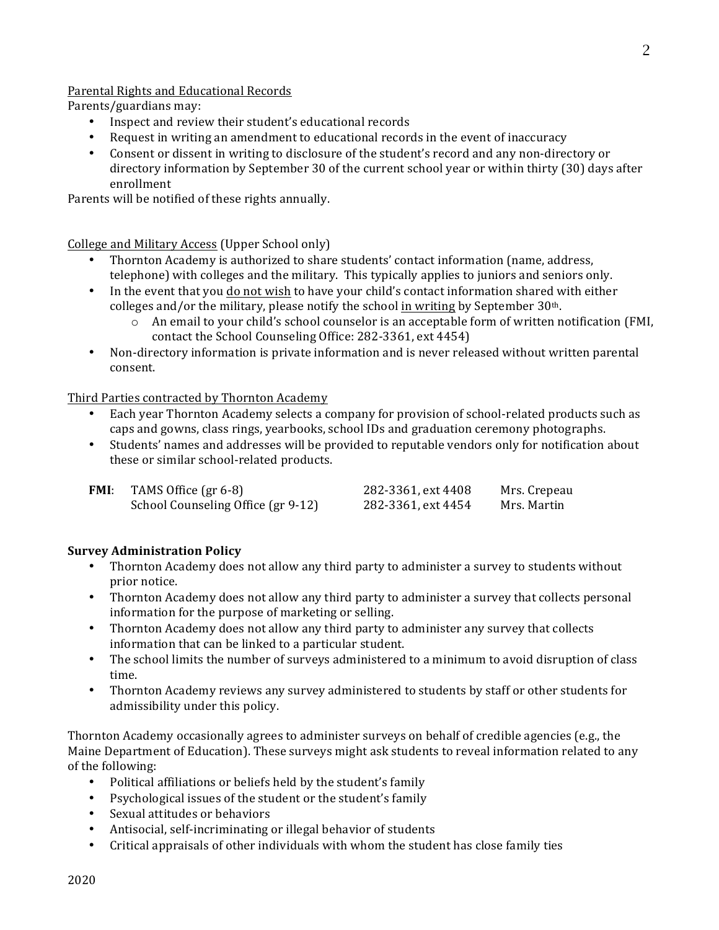# Parental Rights and Educational Records

Parents/guardians may:

- Inspect and review their student's educational records
- Request in writing an amendment to educational records in the event of inaccuracy
- Consent or dissent in writing to disclosure of the student's record and any non-directory or directory information by September 30 of the current school year or within thirty (30) days after enrollment

Parents will be notified of these rights annually.

College and Military Access (Upper School only)

- Thornton Academy is authorized to share students' contact information (name, address, telephone) with colleges and the military. This typically applies to juniors and seniors only.
- In the event that you do not wish to have your child's contact information shared with either colleges and/or the military, please notify the school in writing by September  $30<sup>th</sup>$ .
	- $\circ$  An email to your child's school counselor is an acceptable form of written notification (FMI, contact the School Counseling Office: 282-3361, ext 4454)
- Non-directory information is private information and is never released without written parental consent.

Third Parties contracted by Thornton Academy

- Each year Thornton Academy selects a company for provision of school-related products such as caps and gowns, class rings, yearbooks, school IDs and graduation ceremony photographs.
- Students' names and addresses will be provided to reputable vendors only for notification about these or similar school-related products.

| FMI: | TAMS Office (gr 6-8)               | 282-3361, ext 4408 | Mrs. Crepeau |
|------|------------------------------------|--------------------|--------------|
|      | School Counseling Office (gr 9-12) | 282-3361, ext 4454 | Mrs. Martin  |

# **Survey Administration Policy**

- Thornton Academy does not allow any third party to administer a survey to students without prior notice.
- Thornton Academy does not allow any third party to administer a survey that collects personal information for the purpose of marketing or selling.
- Thornton Academy does not allow any third party to administer any survey that collects information that can be linked to a particular student.
- The school limits the number of surveys administered to a minimum to avoid disruption of class time.
- Thornton Academy reviews any survey administered to students by staff or other students for admissibility under this policy.

Thornton Academy occasionally agrees to administer surveys on behalf of credible agencies (e.g., the Maine Department of Education). These surveys might ask students to reveal information related to any of the following:

- Political affiliations or beliefs held by the student's family
- Psychological issues of the student or the student's family
- Sexual attitudes or behaviors
- Antisocial, self-incriminating or illegal behavior of students
- Critical appraisals of other individuals with whom the student has close family ties